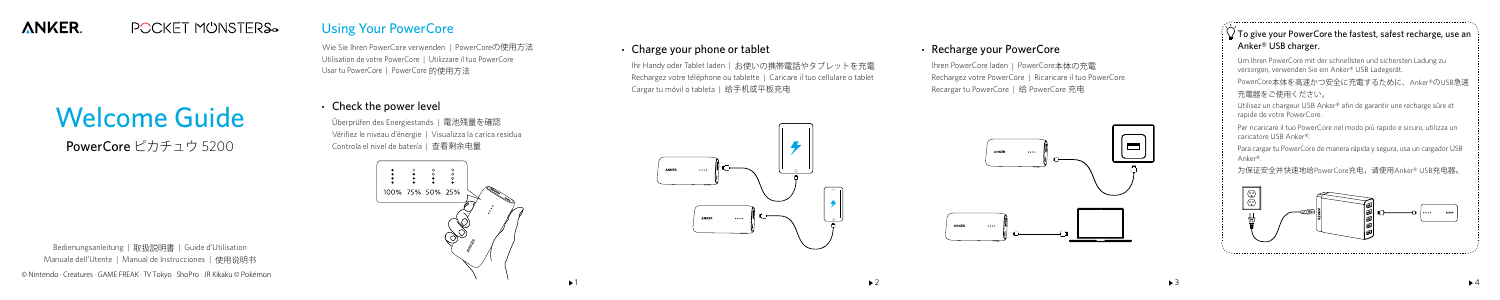# Welcome Guide

PowerCore ピカチュウ 5200

Wie Sie Ihren PowerCore verwenden | PowerCoreの使用方法 Utilisation de votre PowerCore | Utilizzare il tuo PowerCore Usar tu PowerCore | PowerCore 的使用方法

# Check the power level

Ihren PowerCore laden | PowerCore本体の充電 Rechargez votre PowerCore | Ricaricare il tuo PowerCore Recargar tu PowerCore | 给 PowerCore 充电







1 and  $\rightarrow$  2  $\rightarrow$  3  $\rightarrow$  4

Überprüfen des Energiestands | 電池残量を確認 Vérifiez le niveau d'énergie | Visualizza la carica residua Controla el nivel de batería | 查看剩余电量



 $\Box$  To give your PowerCore the fastest, safest recharge, use an Anker® USB charger.

#### **ANKER POCKET MUNSTERS.**

# Using Your PowerCore

## Charge your phone or tablet

Ihr Handy oder Tablet laden | お使いの携帯電話やタブレットを充電 Rechargez votre téléphone ou tablette | Caricare il tuo cellulare o tablet Cargar tu móvil o tableta | 给手机或平板充电

# Recharge your PowerCore

Bedienungsanleitung | 取扱説明書 | Guide d'Utilisation Manuale dell'Utente | Manual de Instrucciones | 使用说明书 © Nintendo · Creatures · GAME FREAK · TV Tokyo · ShoPro · JR Kikaku © Pokémon Um Ihren PowerCore mit der schnellsten und sichersten Ladung zu versorgen, verwenden Sie ein Anker® USB Ladegerät.

PowerCore本体を高速かつ安全に充電するために、Anker®のUSB急速 充電器をご使用ください。

Utilisez un chargeur USB Anker® afin de garantir une recharge sûre et rapide de votre PowerCore.

Per ricaricare il tuo PowerCore nel modo più rapido e sicuro, utilizza un caricatore USB Anker®.

Para cargar tu PowerCore de manera rápida y segura, usa un cargador USB Anker®.

为保证安全并快速地给PowerCore充电,请使用Anker® USB充电器。